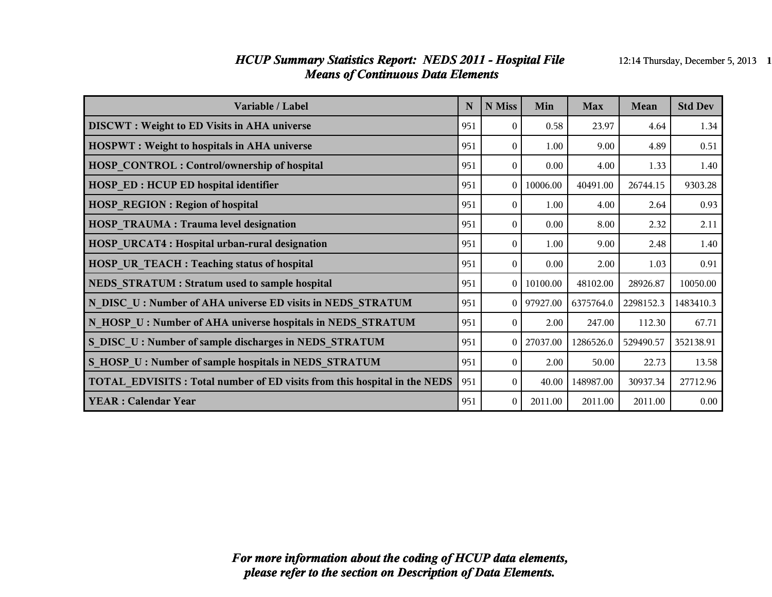#### *HCUP Summary Statistics Report: NEDS 2011 - Hospital File* 12:14 Thursday, December 5, 2013 1 *Means of Continuous Data Elements*

| Variable / Label                                                                | N   | N Miss   | Min      | <b>Max</b> | Mean      | <b>Std Dev</b> |
|---------------------------------------------------------------------------------|-----|----------|----------|------------|-----------|----------------|
| <b>DISCWT</b> : Weight to ED Visits in AHA universe                             | 951 | $\Omega$ | 0.58     | 23.97      | 4.64      | 1.34           |
| <b>HOSPWT</b> : Weight to hospitals in AHA universe                             | 951 | $\theta$ | 1.00     | 9.00       | 4.89      | 0.51           |
| <b>HOSP CONTROL: Control/ownership of hospital</b>                              | 951 | $\theta$ | 0.00     | 4.00       | 1.33      | 1.40           |
| <b>HOSP ED: HCUP ED hospital identifier</b>                                     | 951 | $\Omega$ | 10006.00 | 40491.00   | 26744.15  | 9303.28        |
| <b>HOSP REGION: Region of hospital</b>                                          | 951 | $\theta$ | 1.00     | 4.00       | 2.64      | 0.93           |
| <b>HOSP TRAUMA: Trauma level designation</b>                                    | 951 | $\Omega$ | 0.00     | 8.00       | 2.32      | 2.11           |
| <b>HOSP URCAT4: Hospital urban-rural designation</b>                            | 951 | $\theta$ | 1.00     | 9.00       | 2.48      | 1.40           |
| <b>HOSP UR TEACH : Teaching status of hospital</b>                              | 951 | $\theta$ | 0.00     | 2.00       | 1.03      | 0.91           |
| NEDS STRATUM : Stratum used to sample hospital                                  | 951 | $\theta$ | 10100.00 | 48102.00   | 28926.87  | 10050.00       |
| N_DISC_U : Number of AHA universe ED visits in NEDS_STRATUM                     | 951 | $\theta$ | 97927.00 | 6375764.0  | 2298152.3 | 1483410.3      |
| N HOSP U: Number of AHA universe hospitals in NEDS STRATUM                      | 951 | $\theta$ | 2.00     | 247.00     | 112.30    | 67.71          |
| S DISC U: Number of sample discharges in NEDS STRATUM                           | 951 | $\theta$ | 27037.00 | 1286526.0  | 529490.57 | 352138.91      |
| S HOSP U: Number of sample hospitals in NEDS STRATUM                            | 951 | $\Omega$ | 2.00     | 50.00      | 22.73     | 13.58          |
| <b>TOTAL EDVISITS: Total number of ED visits from this hospital in the NEDS</b> | 951 | $\theta$ | 40.00    | 148987.00  | 30937.34  | 27712.96       |
| <b>YEAR: Calendar Year</b>                                                      | 951 | $\theta$ | 2011.00  | 2011.00    | 2011.00   | 0.00           |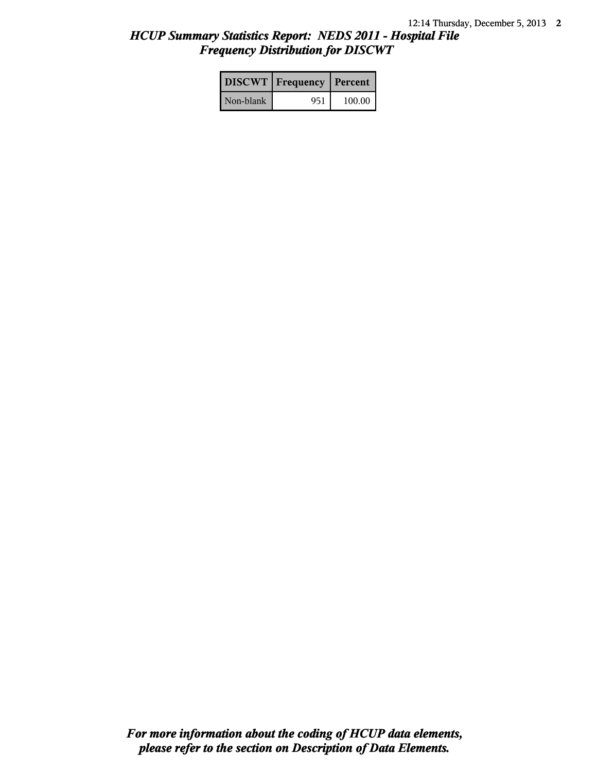# *HCUP Summary Statistics Report: NEDS 2011 - Hospital File Frequency Distribution for DISCWT*

|           | <b>DISCWT</b>   Frequency   Percent |        |
|-----------|-------------------------------------|--------|
| Non-blank | 951                                 | 100.00 |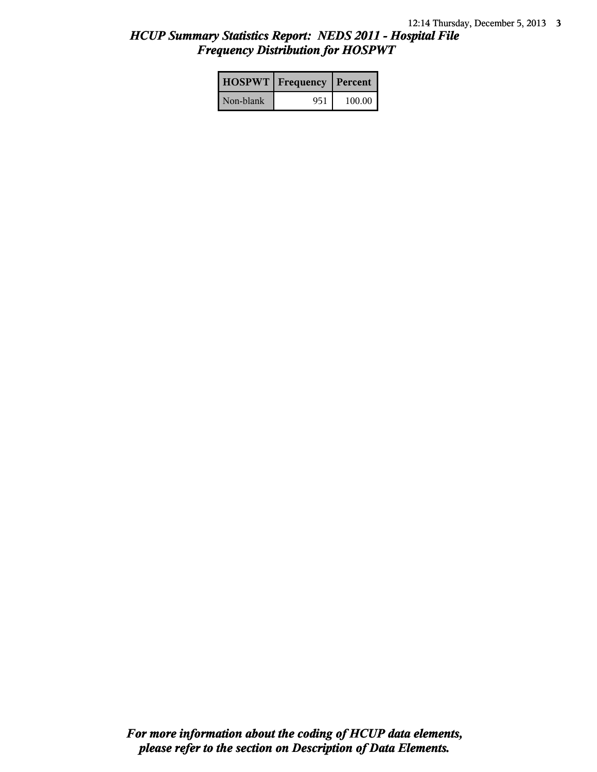# *HCUP Summary Statistics Report: NEDS 2011 - Hospital File Frequency Distribution for HOSPWT*

|           | <b>HOSPWT</b>   Frequency   Percent |        |
|-----------|-------------------------------------|--------|
| Non-blank | 951                                 | 100.00 |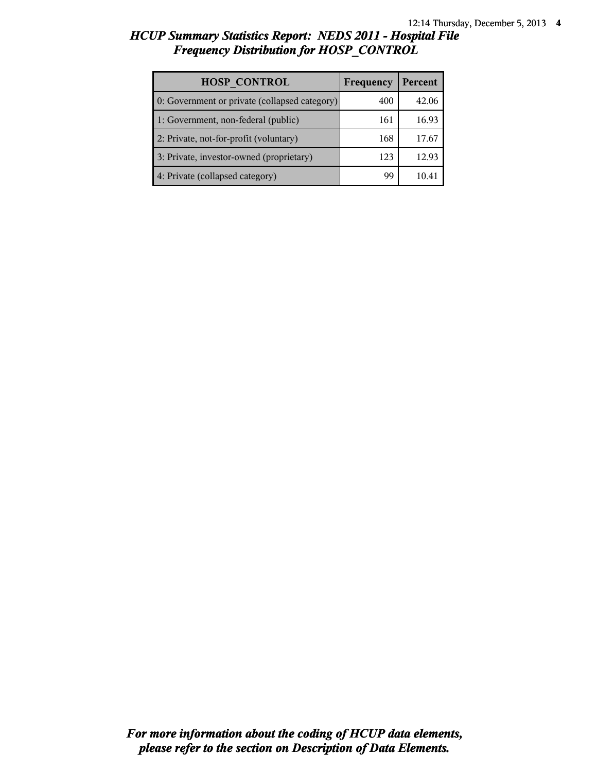# *HCUP Summary Statistics Report: NEDS 2011 - Hospital File Frequency Distribution for HOSP\_CONTROL*

| <b>HOSP CONTROL</b>                           | Frequency | Percent |
|-----------------------------------------------|-----------|---------|
| 0: Government or private (collapsed category) | 400       | 42.06   |
| 1: Government, non-federal (public)           | 161       | 16.93   |
| 2: Private, not-for-profit (voluntary)        | 168       | 17.67   |
| 3: Private, investor-owned (proprietary)      | 123       | 12.93   |
| 4: Private (collapsed category)               | gg        |         |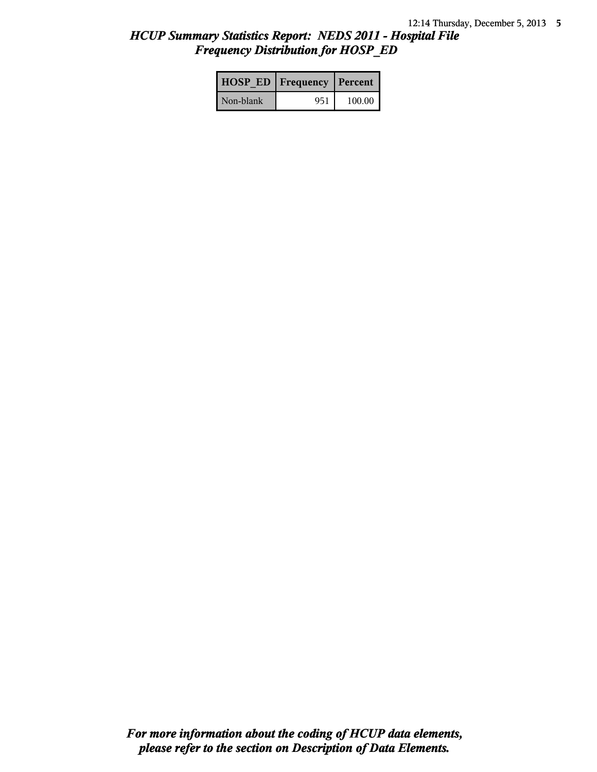# *HCUP Summary Statistics Report: NEDS 2011 - Hospital File Frequency Distribution for HOSP\_ED*

|           | <b>HOSP ED   Frequency   Percent  </b> |        |
|-----------|----------------------------------------|--------|
| Non-blank | 951                                    | 100.00 |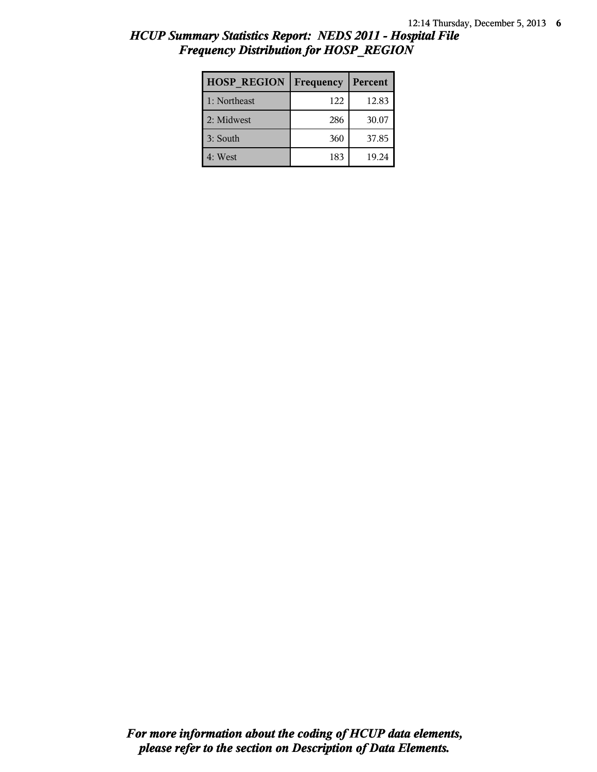# *HCUP Summary Statistics Report: NEDS 2011 - Hospital File Frequency Distribution for HOSP\_REGION*

| <b>HOSP REGION</b> | Frequency | Percent |
|--------------------|-----------|---------|
| 1: Northeast       | 122       | 12.83   |
| 2: Midwest         | 286       | 30.07   |
| 3: South           | 360       | 37.85   |
| 4: West            | 183       | 19.24   |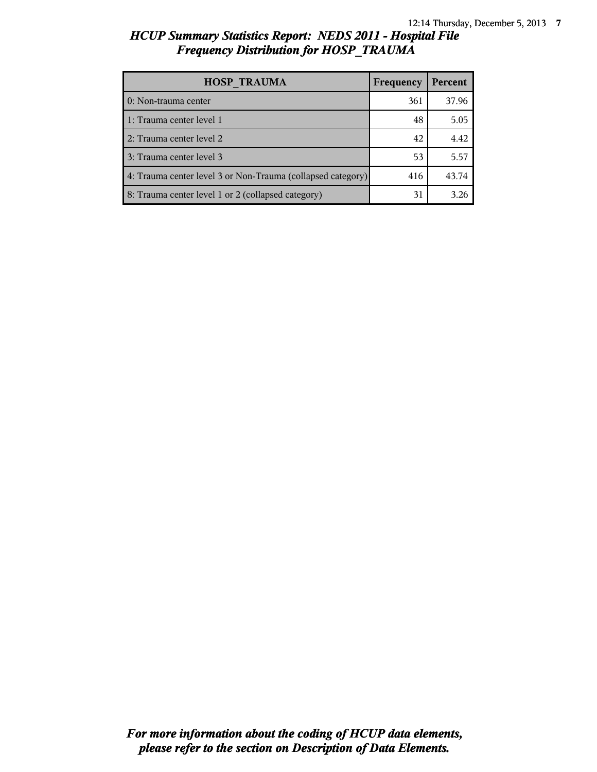## *HCUP Summary Statistics Report: NEDS 2011 - Hospital File Frequency Distribution for HOSP\_TRAUMA*

| <b>HOSP TRAUMA</b>                                          | Frequency | Percent |
|-------------------------------------------------------------|-----------|---------|
| 0: Non-trauma center                                        | 361       | 37.96   |
| 1: Trauma center level 1                                    | 48        | 5.05    |
| 2: Trauma center level 2                                    | 42        | 4.42    |
| 3: Trauma center level 3                                    | 53        | 5.57    |
| 4: Trauma center level 3 or Non-Trauma (collapsed category) | 416       | 43.74   |
| 8: Trauma center level 1 or 2 (collapsed category)          | 31        | 3.26    |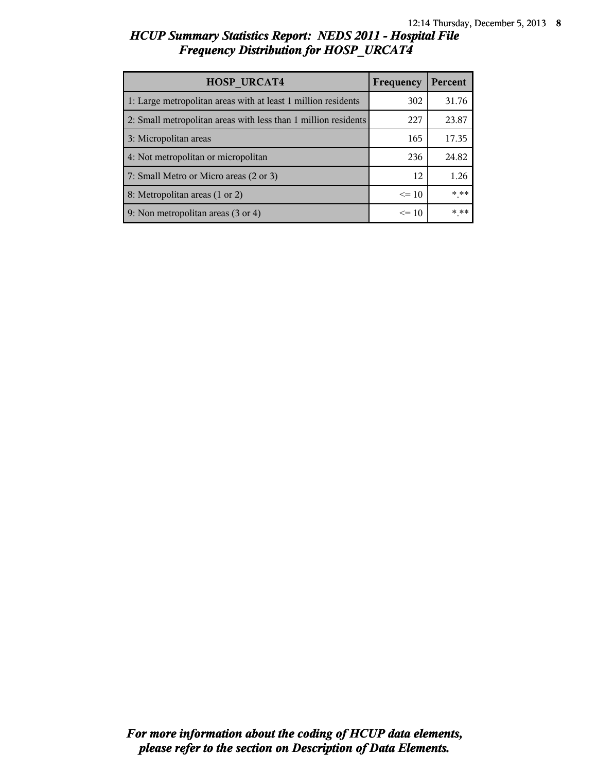# *HCUP Summary Statistics Report: NEDS 2011 - Hospital File Frequency Distribution for HOSP\_URCAT4*

| <b>HOSP URCAT4</b>                                             | Frequency | Percent |
|----------------------------------------------------------------|-----------|---------|
| 1: Large metropolitan areas with at least 1 million residents  | 302       | 31.76   |
| 2: Small metropolitan areas with less than 1 million residents | 227       | 23.87   |
| 3: Micropolitan areas                                          | 165       | 17.35   |
| 4: Not metropolitan or micropolitan                            | 236       | 24.82   |
| 7: Small Metro or Micro areas (2 or 3)                         | 12        | 1.26    |
| 8: Metropolitan areas (1 or 2)                                 | $\leq$ 10 | * **    |
| 9: Non metropolitan areas (3 or 4)                             | $\leq 10$ | * **    |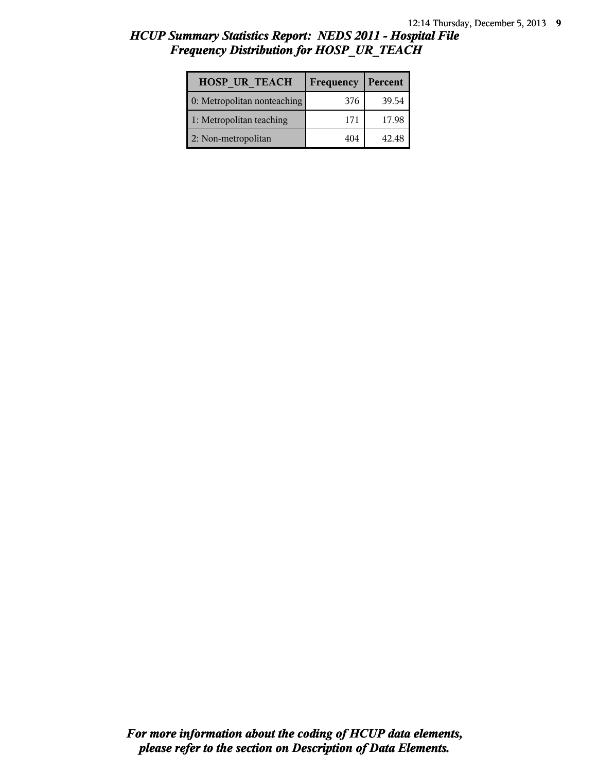## *HCUP Summary Statistics Report: NEDS 2011 - Hospital File Frequency Distribution for HOSP\_UR\_TEACH*

| <b>HOSP UR TEACH</b>        | Frequency | Percent |
|-----------------------------|-----------|---------|
| 0: Metropolitan nonteaching | 376       | 39.54   |
| 1: Metropolitan teaching    | 171       | 17.98   |
| 2: Non-metropolitan         | 404       | 42.48   |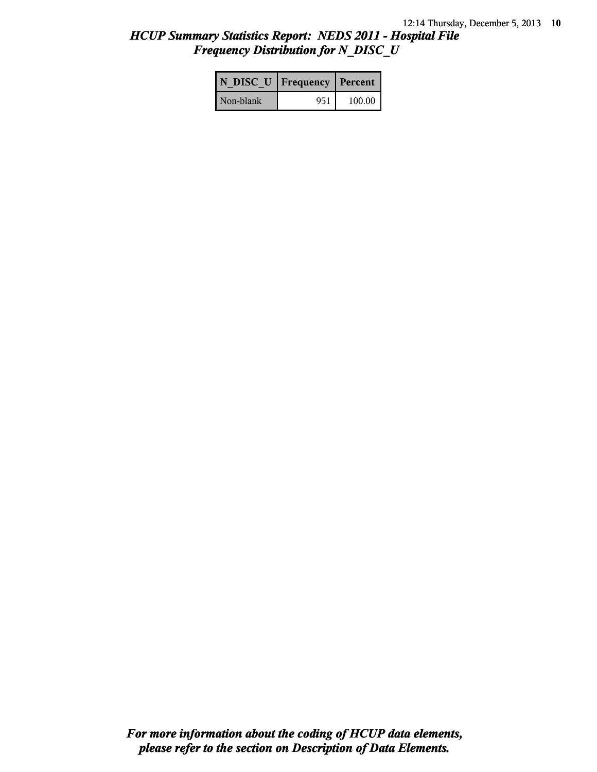## *HCUP Summary Statistics Report: NEDS 2011 - Hospital File Frequency Distribution for N\_DISC\_U*

|           | N DISC U   Frequency   Percent |        |
|-----------|--------------------------------|--------|
| Non-blank | 951                            | 100.00 |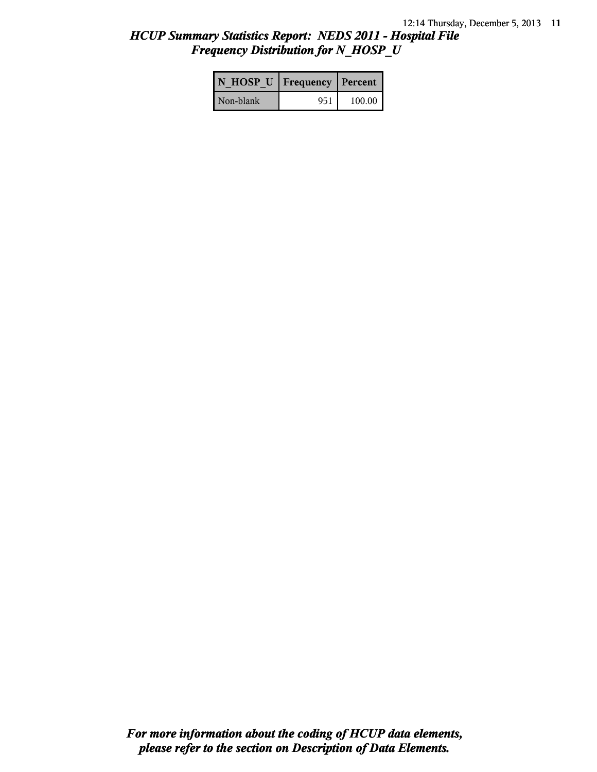## *HCUP Summary Statistics Report: NEDS 2011 - Hospital File Frequency Distribution for N\_HOSP\_U*

| N HOSP U   Frequency   Percent |     |          |
|--------------------------------|-----|----------|
| Non-blank                      | 951 | 100.00 l |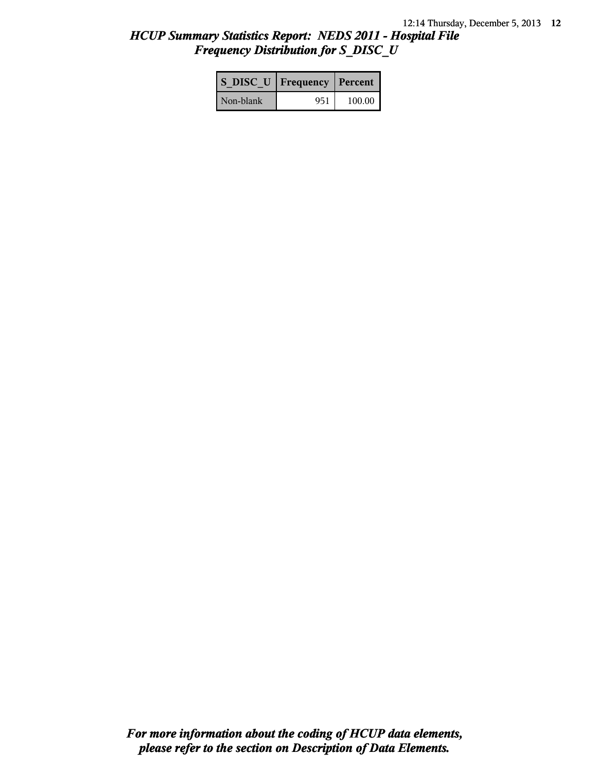# *HCUP Summary Statistics Report: NEDS 2011 - Hospital File Frequency Distribution for S\_DISC\_U*

| S DISC U   Frequency   Percent |     |          |
|--------------------------------|-----|----------|
| Non-blank                      | 951 | $100.00$ |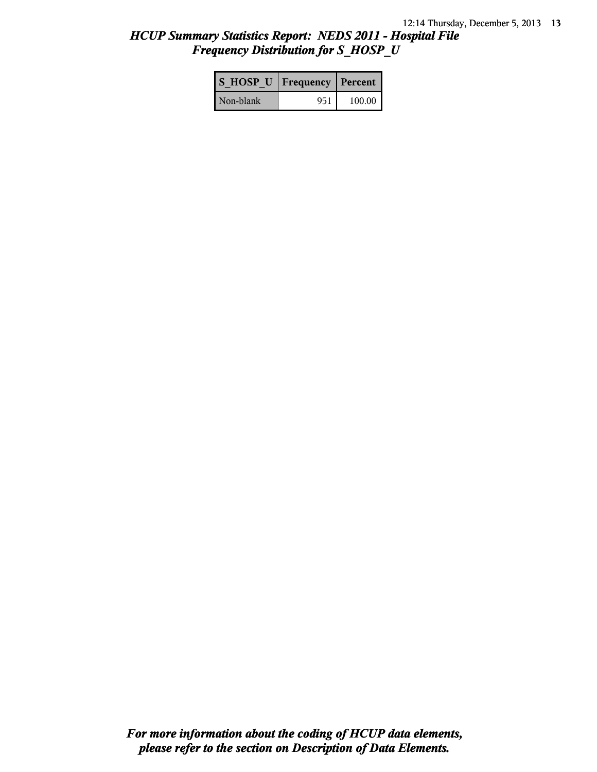## *HCUP Summary Statistics Report: NEDS 2011 - Hospital File Frequency Distribution for S\_HOSP\_U*

| S HOSP U Frequency   Percent |     |          |
|------------------------------|-----|----------|
| Non-blank                    | 951 | $100.00$ |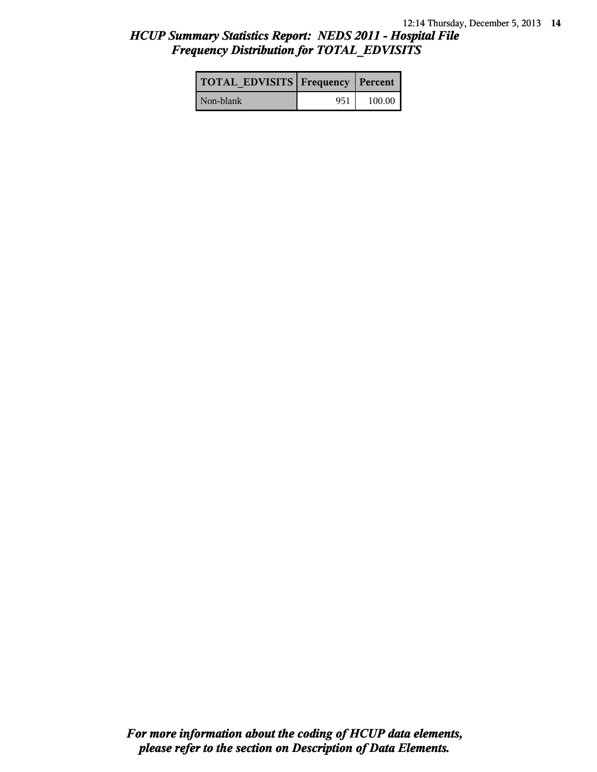## *HCUP Summary Statistics Report: NEDS 2011 - Hospital File Frequency Distribution for TOTAL\_EDVISITS*

| TOTAL EDVISITS   Frequency   Percent |     |        |
|--------------------------------------|-----|--------|
| Non-blank                            | 951 | 100.00 |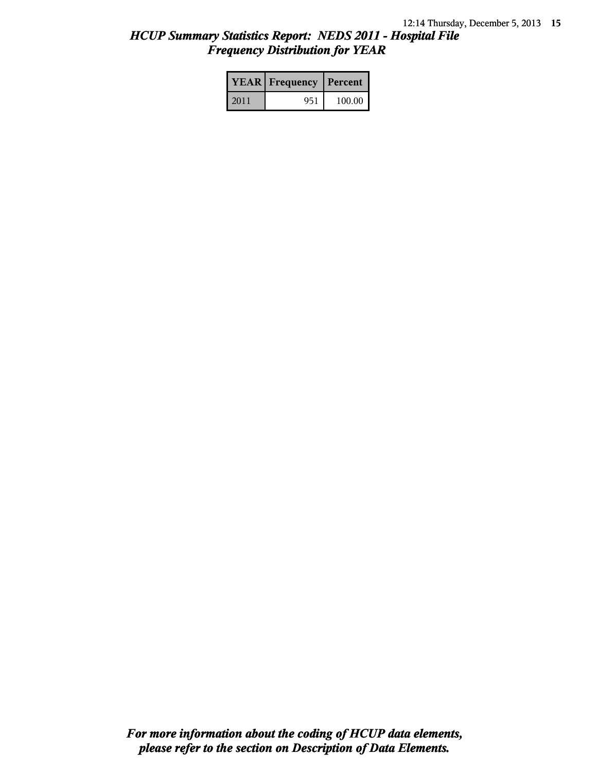# *HCUP Summary Statistics Report: NEDS 2011 - Hospital File Frequency Distribution for YEAR*

|      | <b>YEAR</b> Frequency | Percent |  |
|------|-----------------------|---------|--|
| 2011 | 951                   | 100.00  |  |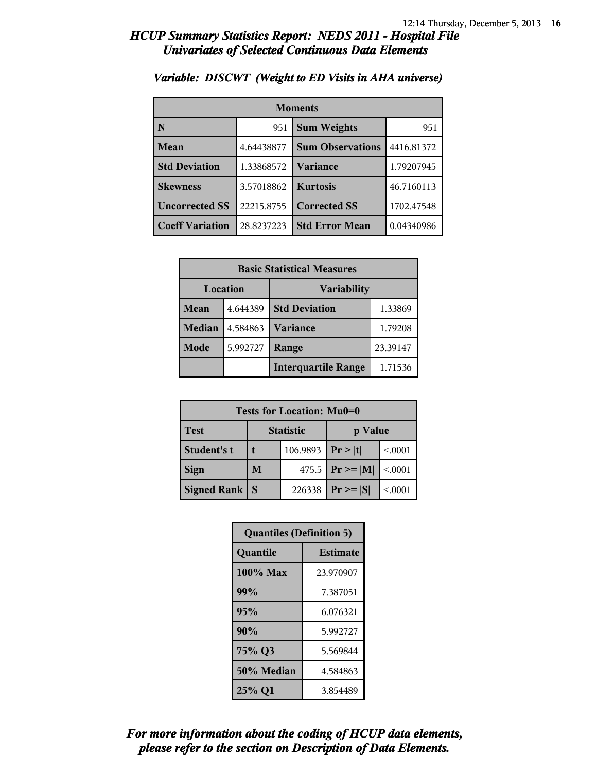| <b>Moments</b>         |            |                         |            |
|------------------------|------------|-------------------------|------------|
| N                      | 951        | <b>Sum Weights</b>      | 951        |
| Mean                   | 4.64438877 | <b>Sum Observations</b> | 4416.81372 |
| <b>Std Deviation</b>   | 1.33868572 | Variance                | 1.79207945 |
| <b>Skewness</b>        | 3.57018862 | <b>Kurtosis</b>         | 46.7160113 |
| <b>Uncorrected SS</b>  | 22215.8755 | <b>Corrected SS</b>     | 1702.47548 |
| <b>Coeff Variation</b> | 28.8237223 | <b>Std Error Mean</b>   | 0.04340986 |

#### *Variable: DISCWT (Weight to ED Visits in AHA universe)*

| <b>Basic Statistical Measures</b> |          |                            |          |
|-----------------------------------|----------|----------------------------|----------|
| Location                          |          | <b>Variability</b>         |          |
| <b>Mean</b>                       | 4.644389 | <b>Std Deviation</b>       | 1.33869  |
| <b>Median</b>                     | 4.584863 | Variance                   | 1.79208  |
| Mode                              | 5.992727 | Range                      | 23.39147 |
|                                   |          | <b>Interquartile Range</b> | 1.71536  |

| Tests for Location: Mu0=0 |                             |          |                     |         |
|---------------------------|-----------------------------|----------|---------------------|---------|
| <b>Test</b>               | <b>Statistic</b><br>p Value |          |                     |         |
| Student's t               |                             | 106.9893 | Pr >  t             | < 0.001 |
| <b>Sign</b>               | M                           |          | 475.5 $ Pr \ge  M $ | < 0.001 |
| Signed Rank               | <b>S</b>                    | 226338   | $Pr \geq  S $       | < 0001  |

| <b>Quantiles (Definition 5)</b> |                 |  |
|---------------------------------|-----------------|--|
| Quantile                        | <b>Estimate</b> |  |
| 100% Max                        | 23.970907       |  |
| 99%                             | 7.387051        |  |
| 95%                             | 6.076321        |  |
| 90%                             | 5.992727        |  |
| 75% Q3                          | 5.569844        |  |
| 50% Median                      | 4.584863        |  |
| 25% Q1                          | 3.854489        |  |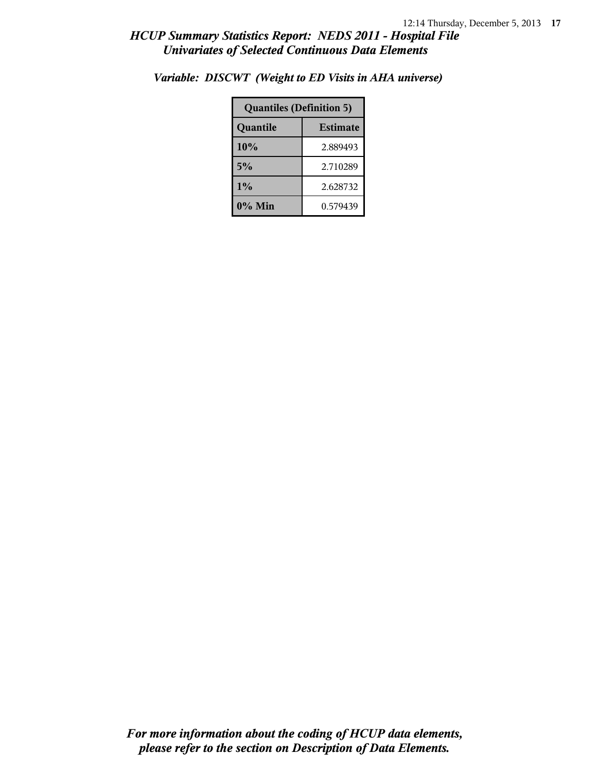| <b>Quantiles (Definition 5)</b> |          |  |
|---------------------------------|----------|--|
| <b>Estimate</b><br>Quantile     |          |  |
| 10%                             | 2.889493 |  |
| 5%                              | 2.710289 |  |
| 1%                              | 2.628732 |  |
| 0% Min                          | 0.579439 |  |

*Variable: DISCWT (Weight to ED Visits in AHA universe)*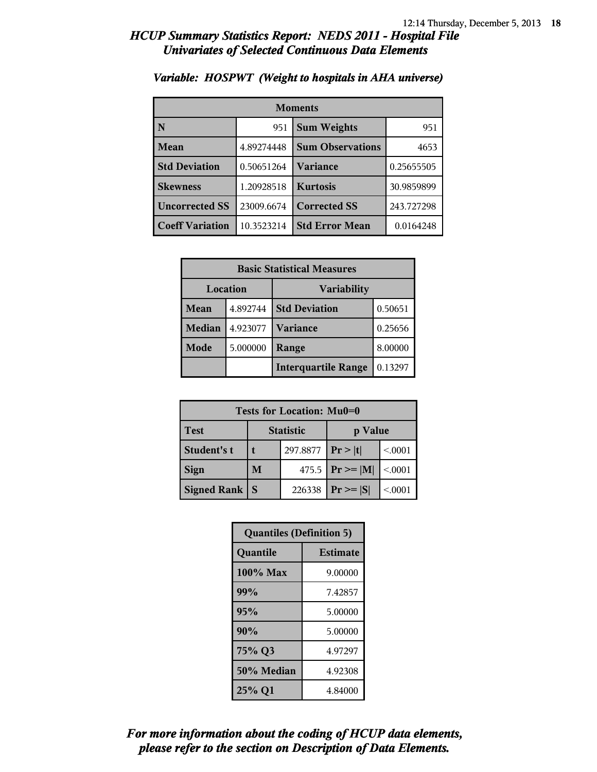| <b>Moments</b>         |            |                         |            |
|------------------------|------------|-------------------------|------------|
| N                      | 951        | <b>Sum Weights</b>      | 951        |
| Mean                   | 4.89274448 | <b>Sum Observations</b> | 4653       |
| <b>Std Deviation</b>   | 0.50651264 | Variance                | 0.25655505 |
| <b>Skewness</b>        | 1.20928518 | <b>Kurtosis</b>         | 30.9859899 |
| <b>Uncorrected SS</b>  | 23009.6674 | <b>Corrected SS</b>     | 243.727298 |
| <b>Coeff Variation</b> | 10.3523214 | <b>Std Error Mean</b>   | 0.0164248  |

#### *Variable: HOSPWT (Weight to hospitals in AHA universe)*

| <b>Basic Statistical Measures</b> |          |                            |         |
|-----------------------------------|----------|----------------------------|---------|
| Location                          |          | <b>Variability</b>         |         |
| Mean                              | 4.892744 | <b>Std Deviation</b>       | 0.50651 |
| <b>Median</b>                     | 4.923077 | Variance                   | 0.25656 |
| Mode                              | 5.000000 | Range                      | 8.00000 |
|                                   |          | <b>Interquartile Range</b> | 0.13297 |

| Tests for Location: Mu0=0 |                             |        |                     |         |
|---------------------------|-----------------------------|--------|---------------------|---------|
| <b>Test</b>               | <b>Statistic</b><br>p Value |        |                     |         |
| Student's t               | 297.8877                    |        | Pr> t               | < 0.001 |
| <b>Sign</b>               | M                           |        | 475.5 $ Pr \ge  M $ | < .0001 |
| <b>Signed Rank</b>        | <b>S</b>                    | 226338 | $Pr \geq  S $       | < 0001  |

| <b>Quantiles (Definition 5)</b> |                 |  |
|---------------------------------|-----------------|--|
| Quantile                        | <b>Estimate</b> |  |
| $100\%$ Max                     | 9.00000         |  |
| 99%                             | 7.42857         |  |
| 95%                             | 5.00000         |  |
| 90%                             | 5.00000         |  |
| 75% Q3                          | 4.97297         |  |
| 50% Median                      | 4.92308         |  |
| 25% Q1                          | 4.84000         |  |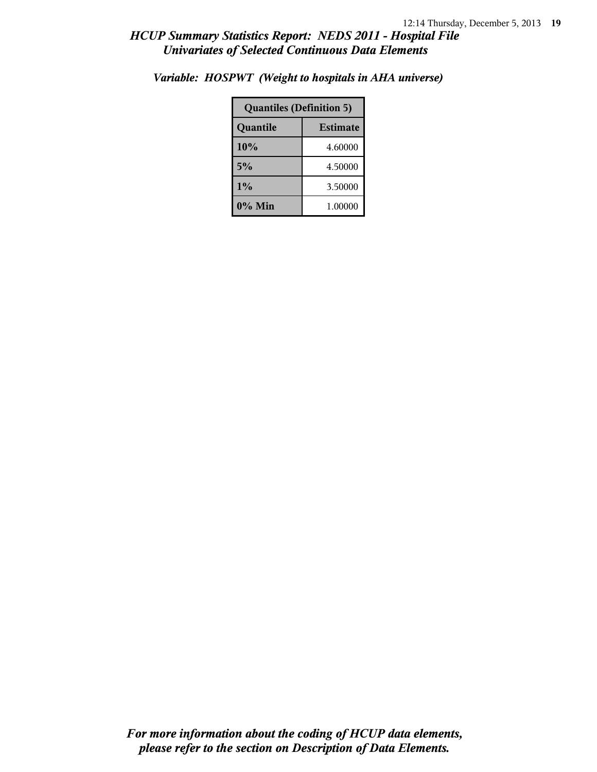| <b>Quantiles (Definition 5)</b> |         |  |
|---------------------------------|---------|--|
| Quantile<br><b>Estimate</b>     |         |  |
| 10%                             | 4.60000 |  |
| 5%                              | 4.50000 |  |
| 1%                              | 3.50000 |  |
| 0% Min                          | 1.00000 |  |

*Variable: HOSPWT (Weight to hospitals in AHA universe)*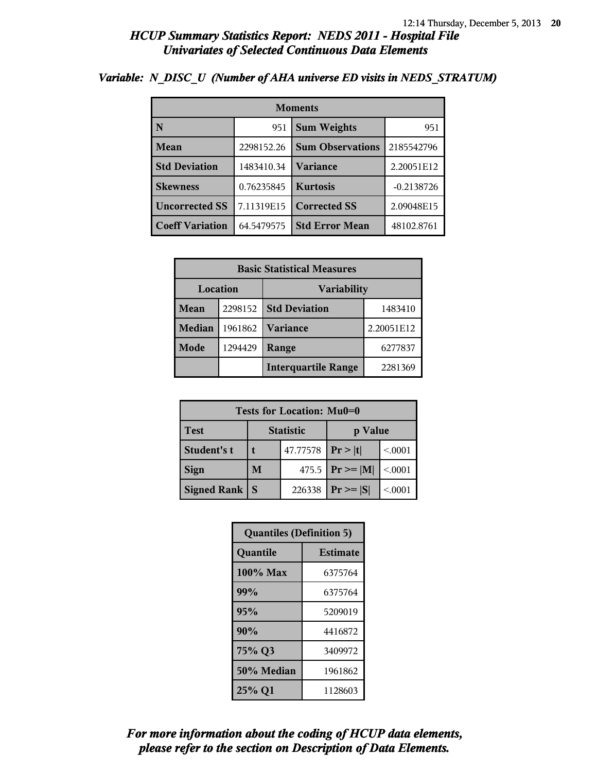| <b>Moments</b>         |            |                         |              |  |
|------------------------|------------|-------------------------|--------------|--|
| N                      | 951        | <b>Sum Weights</b>      | 951          |  |
| Mean                   | 2298152.26 | <b>Sum Observations</b> | 2185542796   |  |
| <b>Std Deviation</b>   | 1483410.34 | Variance                | 2.20051E12   |  |
| <b>Skewness</b>        | 0.76235845 | <b>Kurtosis</b>         | $-0.2138726$ |  |
| <b>Uncorrected SS</b>  | 7.11319E15 | <b>Corrected SS</b>     | 2.09048E15   |  |
| <b>Coeff Variation</b> | 64.5479575 | <b>Std Error Mean</b>   | 48102.8761   |  |

### *Variable: N\_DISC\_U (Number of AHA universe ED visits in NEDS\_STRATUM)*

| <b>Basic Statistical Measures</b> |         |                            |            |  |
|-----------------------------------|---------|----------------------------|------------|--|
| Location<br><b>Variability</b>    |         |                            |            |  |
| Mean                              | 2298152 | <b>Std Deviation</b>       | 1483410    |  |
| <b>Median</b>                     | 1961862 | <b>Variance</b>            | 2.20051E12 |  |
| Mode                              | 1294429 | Range                      | 6277837    |  |
|                                   |         | <b>Interquartile Range</b> | 2281369    |  |

| Tests for Location: Mu0=0 |                             |          |                     |         |  |
|---------------------------|-----------------------------|----------|---------------------|---------|--|
| <b>Test</b>               | <b>Statistic</b><br>p Value |          |                     |         |  |
| Student's t               |                             | 47.77578 | Pr >  t             | < 0001  |  |
| <b>Sign</b>               | M                           |          | 475.5 $ Pr \ge  M $ | < .0001 |  |
| Signed Rank               | <b>S</b>                    | 226338   | $Pr \geq  S $       | < 0001  |  |

| <b>Quantiles (Definition 5)</b> |                 |  |
|---------------------------------|-----------------|--|
| Quantile                        | <b>Estimate</b> |  |
| 100% Max                        | 6375764         |  |
| 99%                             | 6375764         |  |
| 95%                             | 5209019         |  |
| 90%                             | 4416872         |  |
| 75% Q3                          | 3409972         |  |
| 50% Median                      | 1961862         |  |
| 25% Q1                          | 1128603         |  |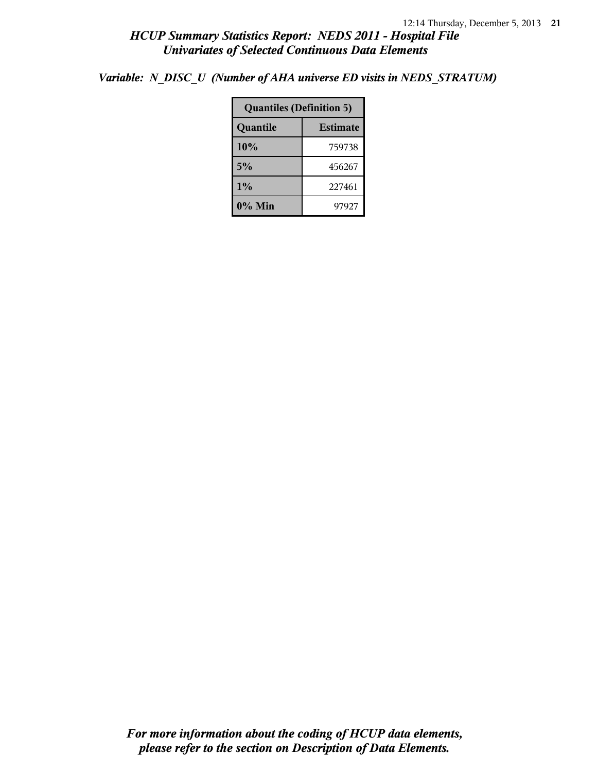*Variable: N\_DISC\_U (Number of AHA universe ED visits in NEDS\_STRATUM)*

| <b>Quantiles (Definition 5)</b> |                 |  |
|---------------------------------|-----------------|--|
| Quantile                        | <b>Estimate</b> |  |
| 10%                             | 759738          |  |
| 5%                              | 456267          |  |
| $1\%$                           | 227461          |  |
| $0\%$ Min                       | 97927           |  |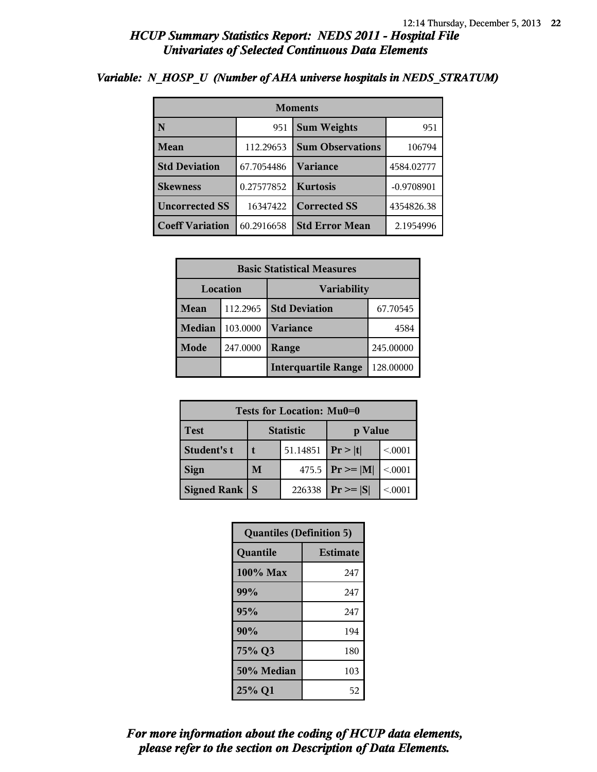| <b>Moments</b>         |            |                         |              |  |
|------------------------|------------|-------------------------|--------------|--|
| N                      | 951        | <b>Sum Weights</b>      | 951          |  |
| Mean                   | 112.29653  | <b>Sum Observations</b> | 106794       |  |
| <b>Std Deviation</b>   | 67.7054486 | Variance                | 4584.02777   |  |
| <b>Skewness</b>        | 0.27577852 | <b>Kurtosis</b>         | $-0.9708901$ |  |
| <b>Uncorrected SS</b>  | 16347422   | <b>Corrected SS</b>     | 4354826.38   |  |
| <b>Coeff Variation</b> | 60.2916658 | <b>Std Error Mean</b>   | 2.1954996    |  |

#### *Variable: N\_HOSP\_U (Number of AHA universe hospitals in NEDS\_STRATUM)*

| <b>Basic Statistical Measures</b>     |          |                            |           |
|---------------------------------------|----------|----------------------------|-----------|
| <b>Location</b><br><b>Variability</b> |          |                            |           |
| Mean                                  | 112.2965 | <b>Std Deviation</b>       | 67.70545  |
| <b>Median</b>                         | 103.0000 | <b>Variance</b>            | 4584      |
| Mode                                  | 247.0000 | Range                      | 245.00000 |
|                                       |          | <b>Interquartile Range</b> | 128.00000 |

| Tests for Location: Mu0=0 |                             |          |                     |         |  |  |
|---------------------------|-----------------------------|----------|---------------------|---------|--|--|
| <b>Test</b>               | <b>Statistic</b><br>p Value |          |                     |         |  |  |
| Student's t               |                             | 51.14851 | Pr >  t             | < 0001  |  |  |
| <b>Sign</b>               | M                           |          | 475.5 $ Pr \ge  M $ | < 0.001 |  |  |
| <b>Signed Rank</b>        |                             | 226338   | $Pr \geq  S $       | < 0001  |  |  |

| <b>Quantiles (Definition 5)</b> |                 |  |
|---------------------------------|-----------------|--|
| Quantile                        | <b>Estimate</b> |  |
| 100% Max                        | 247             |  |
| 99%                             | 247             |  |
| 95%                             | 247             |  |
| 90%                             | 194             |  |
| 75% Q3                          | 180             |  |
| 50% Median                      | 103             |  |
| 25% Q1                          | 52              |  |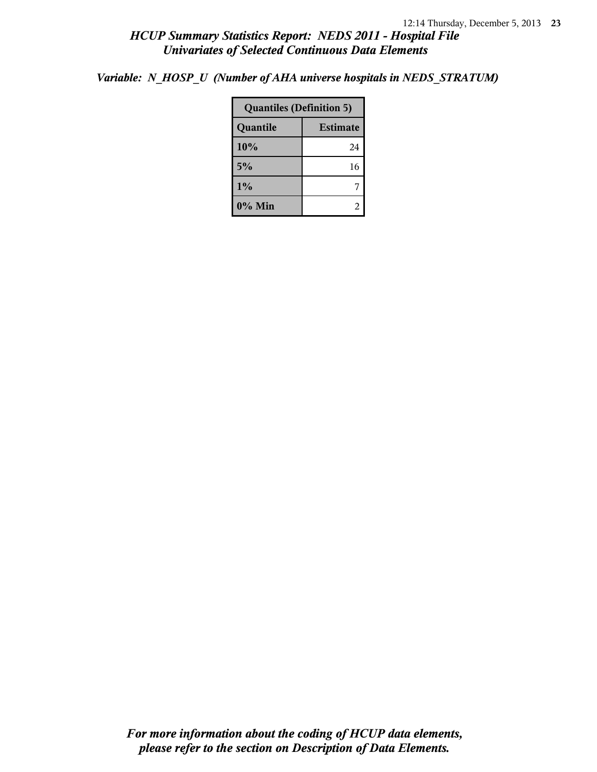*Variable: N\_HOSP\_U (Number of AHA universe hospitals in NEDS\_STRATUM)*

| <b>Quantiles (Definition 5)</b> |    |  |
|---------------------------------|----|--|
| <b>Estimate</b><br>Quantile     |    |  |
| 10%                             | 24 |  |
| 5%                              | 16 |  |
| 1%                              |    |  |
| 0% Min                          |    |  |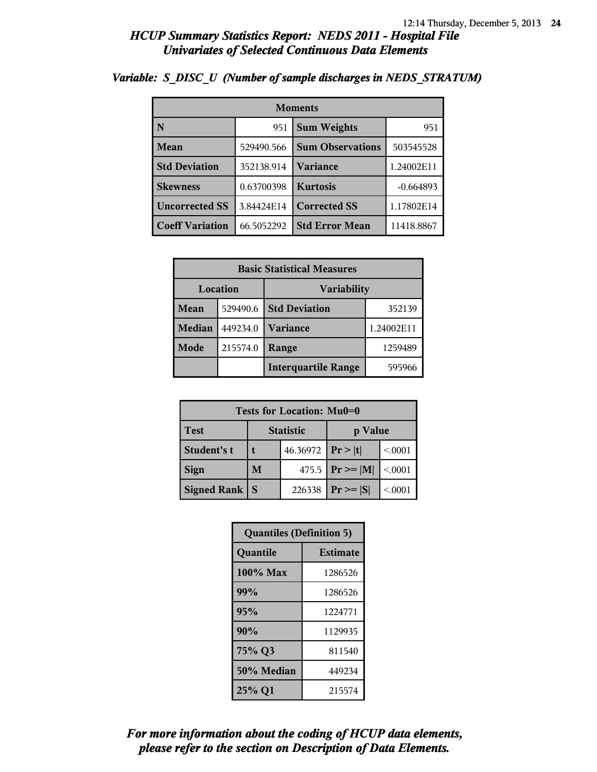| <b>Moments</b>         |            |                         |             |
|------------------------|------------|-------------------------|-------------|
| N                      | 951        | <b>Sum Weights</b>      | 951         |
| Mean                   | 529490.566 | <b>Sum Observations</b> | 503545528   |
| <b>Std Deviation</b>   | 352138.914 | Variance                | 1.24002E11  |
| <b>Skewness</b>        | 0.63700398 | <b>Kurtosis</b>         | $-0.664893$ |
| <b>Uncorrected SS</b>  | 3.84424E14 | <b>Corrected SS</b>     | 1.17802E14  |
| <b>Coeff Variation</b> | 66.5052292 | <b>Std Error Mean</b>   | 11418.8867  |

### *Variable: S\_DISC\_U (Number of sample discharges in NEDS\_STRATUM)*

| <b>Basic Statistical Measures</b> |          |                            |            |  |
|-----------------------------------|----------|----------------------------|------------|--|
|                                   | Location | <b>Variability</b>         |            |  |
| Mean                              | 529490.6 | <b>Std Deviation</b>       | 352139     |  |
| <b>Median</b>                     | 449234.0 | <b>Variance</b>            | 1.24002E11 |  |
| Mode                              | 215574.0 | Range                      | 1259489    |  |
|                                   |          | <b>Interquartile Range</b> | 595966     |  |

| Tests for Location: Mu0=0 |                             |  |                     |         |  |
|---------------------------|-----------------------------|--|---------------------|---------|--|
| <b>Test</b>               | <b>Statistic</b><br>p Value |  |                     |         |  |
| Student's t               | 46.36972                    |  | Pr >  t             | < 0001  |  |
| <b>Sign</b>               | M                           |  | 475.5 $ Pr \ge  M $ | < 0.001 |  |
| <b>Signed Rank</b>        | 226338                      |  |                     | < 0001  |  |

| <b>Quantiles (Definition 5)</b> |                 |  |
|---------------------------------|-----------------|--|
| Quantile                        | <b>Estimate</b> |  |
| 100% Max                        | 1286526         |  |
| 99%                             | 1286526         |  |
| 95%                             | 1224771         |  |
| 90%                             | 1129935         |  |
| 75% Q3                          | 811540          |  |
| 50% Median                      | 449234          |  |
| 25% Q1                          | 215574          |  |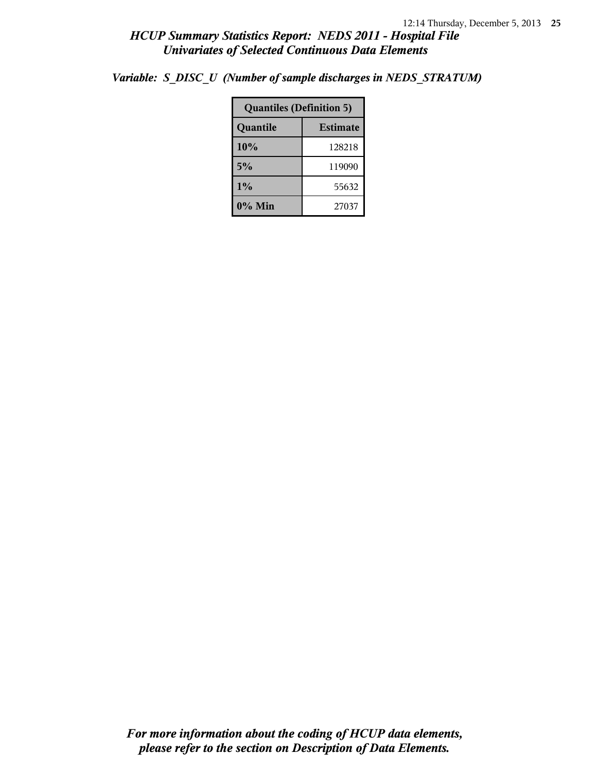|  | Variable: S DISC U (Number of sample discharges in NEDS STRATUM) |  |
|--|------------------------------------------------------------------|--|
|  |                                                                  |  |

| <b>Quantiles (Definition 5)</b> |                 |  |
|---------------------------------|-----------------|--|
| Quantile                        | <b>Estimate</b> |  |
| 10%                             | 128218          |  |
| 5%                              | 119090          |  |
| $1\%$                           | 55632           |  |
| 0% Min                          | 27037           |  |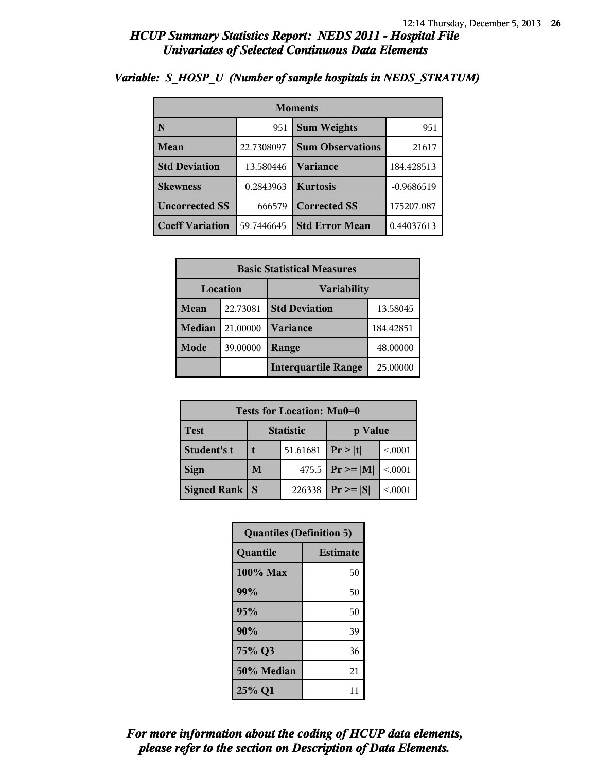| <b>Moments</b>          |            |                           |              |  |
|-------------------------|------------|---------------------------|--------------|--|
| $\overline{\mathbf{N}}$ | 951        | <b>Sum Weights</b><br>951 |              |  |
| Mean                    | 22.7308097 | <b>Sum Observations</b>   | 21617        |  |
| <b>Std Deviation</b>    | 13.580446  | Variance                  | 184.428513   |  |
| <b>Skewness</b>         | 0.2843963  | <b>Kurtosis</b>           | $-0.9686519$ |  |
| <b>Uncorrected SS</b>   | 666579     | <b>Corrected SS</b>       | 175207.087   |  |
| <b>Coeff Variation</b>  | 59.7446645 | <b>Std Error Mean</b>     | 0.44037613   |  |

### *Variable: S\_HOSP\_U (Number of sample hospitals in NEDS\_STRATUM)*

| <b>Basic Statistical Measures</b> |          |                            |           |  |
|-----------------------------------|----------|----------------------------|-----------|--|
| Location<br><b>Variability</b>    |          |                            |           |  |
| Mean                              | 22.73081 | <b>Std Deviation</b>       | 13.58045  |  |
| <b>Median</b>                     | 21.00000 | <b>Variance</b>            | 184.42851 |  |
| Mode                              | 39.00000 | Range                      | 48.00000  |  |
|                                   |          | <b>Interquartile Range</b> | 25.00000  |  |

| Tests for Location: Mu0=0 |                             |        |                     |         |  |
|---------------------------|-----------------------------|--------|---------------------|---------|--|
| <b>Test</b>               | <b>Statistic</b><br>p Value |        |                     |         |  |
| Student's t               | 51.61681                    |        | Pr >  t             | < 0001  |  |
| <b>Sign</b>               | M                           |        | 475.5 $ Pr \ge  M $ | < 0.001 |  |
| <b>Signed Rank</b>        |                             | 226338 | $Pr \geq  S $       | < 0001  |  |

| <b>Quantiles (Definition 5)</b> |                 |  |
|---------------------------------|-----------------|--|
| Quantile                        | <b>Estimate</b> |  |
| 100% Max                        | 50              |  |
| 99%                             | 50              |  |
| 95%                             | 50              |  |
| 90%                             | 39              |  |
| 75% Q3                          | 36              |  |
| 50% Median                      | 21              |  |
| 25% Q1                          | 11              |  |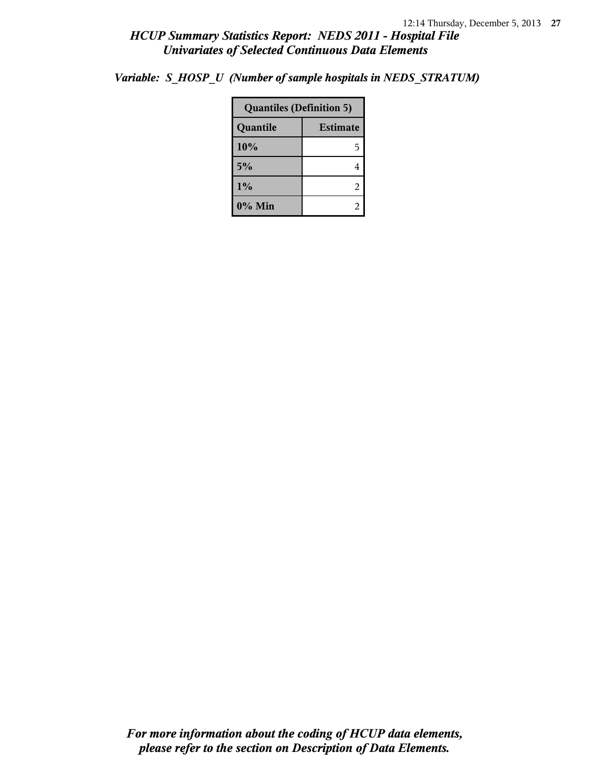*Variable: S\_HOSP\_U (Number of sample hospitals in NEDS\_STRATUM)*

| <b>Quantiles (Definition 5)</b> |                 |  |
|---------------------------------|-----------------|--|
| Quantile                        | <b>Estimate</b> |  |
| 10%                             | 5               |  |
| 5%                              |                 |  |
| 1%                              | 2               |  |
| 0% Min                          |                 |  |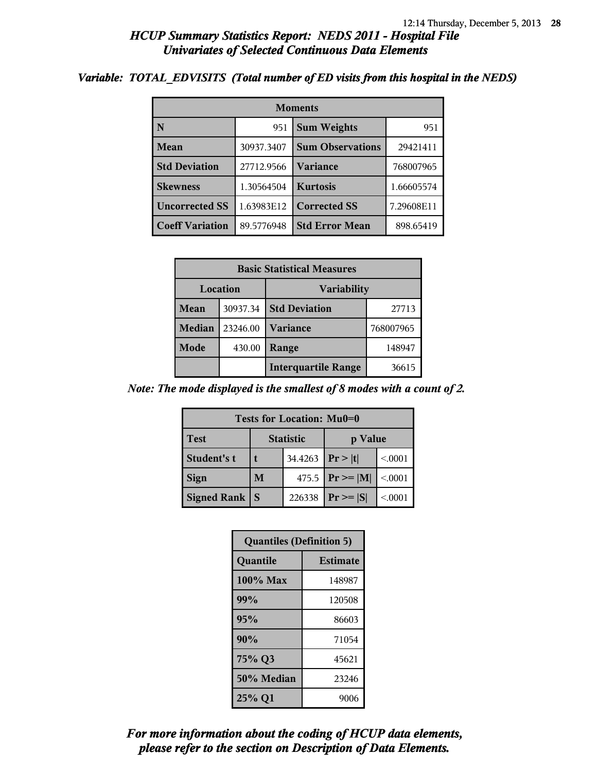#### *Variable: TOTAL\_EDVISITS (Total number of ED visits from this hospital in the NEDS)*

| <b>Moments</b>         |            |                         |            |  |
|------------------------|------------|-------------------------|------------|--|
| $\mathbf N$            | 951        | <b>Sum Weights</b>      | 951        |  |
| Mean                   | 30937.3407 | <b>Sum Observations</b> | 29421411   |  |
| <b>Std Deviation</b>   | 27712.9566 | Variance                | 768007965  |  |
| <b>Skewness</b>        | 1.30564504 | <b>Kurtosis</b>         | 1.66605574 |  |
| <b>Uncorrected SS</b>  | 1.63983E12 | <b>Corrected SS</b>     | 7.29608E11 |  |
| <b>Coeff Variation</b> | 89.5776948 | <b>Std Error Mean</b>   | 898.65419  |  |

| <b>Basic Statistical Measures</b> |          |                            |           |
|-----------------------------------|----------|----------------------------|-----------|
| Location<br><b>Variability</b>    |          |                            |           |
| Mean                              | 30937.34 | <b>Std Deviation</b>       | 27713     |
| Median                            | 23246.00 | Variance                   | 768007965 |
| Mode                              | 430.00   | Range                      | 148947    |
|                                   |          | <b>Interquartile Range</b> | 36615     |

*Note: The mode displayed is the smallest of 8 modes with a count of 2.*

| Tests for Location: Mu0=0 |                  |                      |                    |         |  |
|---------------------------|------------------|----------------------|--------------------|---------|--|
| <b>Test</b>               | <b>Statistic</b> |                      | p Value            |         |  |
| Student's t               |                  | 34.4263   $Pr >  t $ |                    | < 0.001 |  |
| <b>Sign</b>               | M                |                      | 475.5 $Pr \ge  M $ | < .0001 |  |
| <b>Signed Rank</b>        | <b>S</b>         | 226338               | $Pr \geq  S $      | < 0001  |  |

| <b>Quantiles (Definition 5)</b> |                 |  |
|---------------------------------|-----------------|--|
| Quantile                        | <b>Estimate</b> |  |
| 100% Max                        | 148987          |  |
| 99%                             | 120508          |  |
| 95%                             | 86603           |  |
| 90%                             | 71054           |  |
| 75% Q3                          | 45621           |  |
| 50% Median                      | 23246           |  |
| 25% Q1                          | 9006            |  |